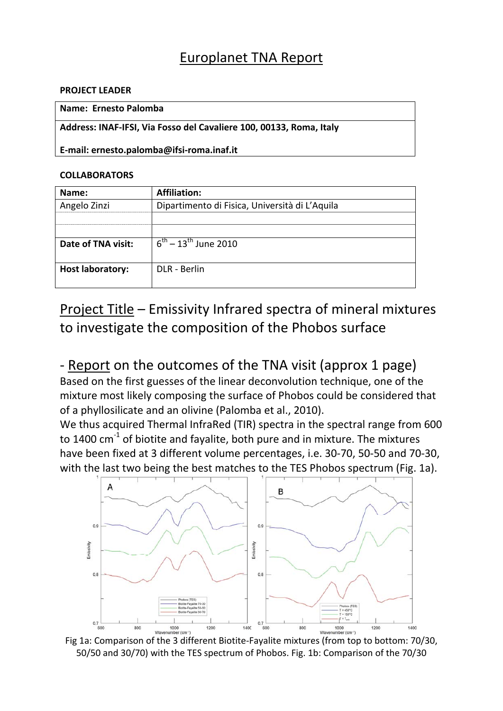# Europlanet TNA Report

#### **PROJECT LEADER**

#### **Name: Ernesto Palomba**

**Address: INAF‐IFSI, Via Fosso del Cavaliere 100, 00133, Roma, Italy**

**E‐mail: ernesto.palomba@ifsi‐roma.inaf.it**

### **COLLABORATORS**

| Name:                   | <b>Affiliation:</b>                            |
|-------------------------|------------------------------------------------|
| Angelo Zinzi            | Dipartimento di Fisica, Università di L'Aquila |
|                         |                                                |
|                         |                                                |
| Date of TNA visit:      | $\sqrt{6^{th} - 13^{th}}$ June 2010            |
|                         |                                                |
| <b>Host laboratory:</b> | DLR - Berlin                                   |
|                         |                                                |

Project Title – Emissivity Infrared spectra of mineral mixtures to investigate the composition of the Phobos surface

## ‐ Report on the outcomes of the TNA visit (approx 1 page)

Based on the first guesses of the linear deconvolution technique, one of the mixture most likely composing the surface of Phobos could be considered that of a phyllosilicate and an olivine (Palomba et al., 2010).

We thus acquired Thermal InfraRed (TIR) spectra in the spectral range from 600 to 1400  $cm<sup>-1</sup>$  of biotite and favalite, both pure and in mixture. The mixtures have been fixed at 3 different volume percentages, i.e. 30‐70, 50‐50 and 70‐30, with the last two being the best matches to the TES Phobos spectrum (Fig. 1a).



50/50 and 30/70) with the TES spectrum of Phobos. Fig. 1b: Comparison of the 70/30